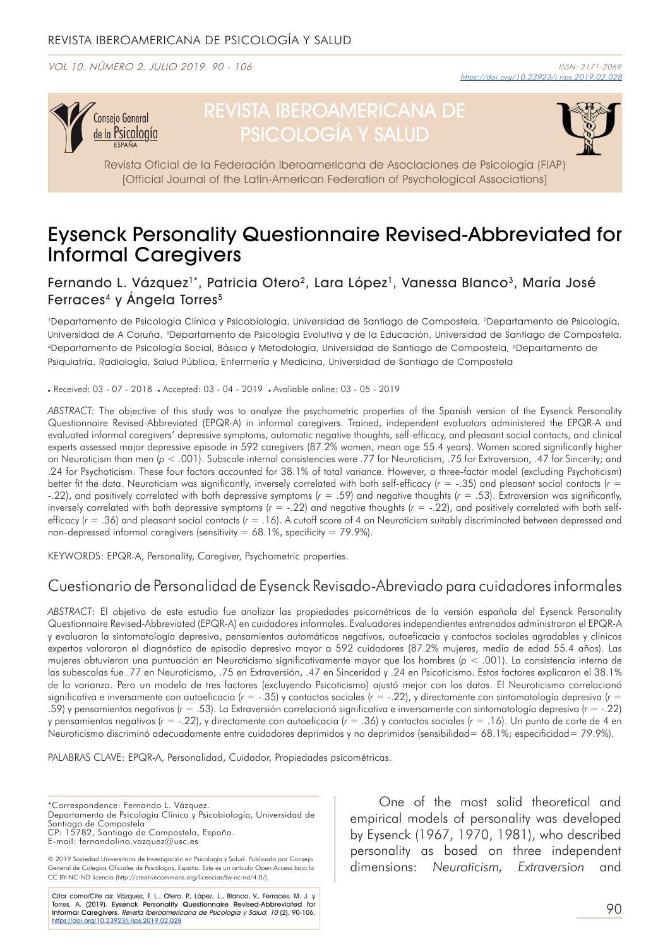VOL 10. NÚMERO 2. JULIO 2019. 90 - 106



# REVISTA IBEROAMERICANA DE PSICOLOGÍA Y SALUD



Revista Oficial de la Federación Iberoamericana de Asociaciones de Psicología (FIAP) [Official Journal of the Latin-American Federation of Psychological Associations]

## Eysenck Personality Questionnaire Revised-Abbreviated for Informal Caregivers

### Fernando L. Vázquez<sup>1\*</sup>, Patricia Otero<sup>2</sup>, Lara López<sup>1</sup>, Vanessa Blanco<sup>3</sup>, María José Ferraces<sup>4</sup> y Ángela Torres<sup>5</sup>

1Departamento de Psicología Clínica y Psicobiología, Universidad de Santiago de Compostela, 2Departamento de Psicología, Universidad de A Coruña, 3Departamento de Psicología Evolutiva y de la Educación, Universidad de Santiago de Compostela, 4Departamento de Psicología Social, Básica y Metodología, Universidad de Santiago de Compostela, 5Departamento de Psiquiatría, Radiología, Salud Pública, Enfermería y Medicina, Universidad de Santiago de Compostela

. Received: 03 - 07 - 2018 . Accepted: 03 - 04 - 2019 . Avaliable online: 03 - 05 - 2019

*ABSTRACT:* The objective of this study was to analyze the psychometric properties of the Spanish version of the Eysenck Personality Questionnaire Revised-Abbreviated (EPQR-A) in informal caregivers. Trained, independent evaluators administered the EPQR-A and evaluated informal caregivers' depressive symptoms, automatic negative thoughts, self-efficacy, and pleasant social contacts, and clinical experts assessed major depressive episode in 592 caregivers (87.2% women, mean age 55.4 years). Women scored significantly higher on Neuroticism than men (*p* < .001). Subscale internal consistencies were .77 for Neuroticism, .75 for Extraversion, .47 for Sincerity; and .24 for Psychoticism. These four factors accounted for 38.1% of total variance. However, a three-factor model (excluding Psychoticism) better fit the data. Neuroticism was significantly, inversely correlated with both self-efficacy (*r* = -.35) and pleasant social contacts (*r* = -.22), and positively correlated with both depressive symptoms (*r* = .59) and negative thoughts (*r* = .53). Extraversion was significantly, inversely correlated with both depressive symptoms (*r* = -.22) and negative thoughts (*r* = -.22), and positively correlated with both selfefficacy (*r* = .36) and pleasant social contacts (*r* = .16). A cutoff score of 4 on Neuroticism suitably discriminated between depressed and non-depressed informal caregivers (sensitivity =  $68.1\%$ , specificity =  $79.9\%$ ).

KEYWORDS: EPQR-A, Personality, Caregiver, Psychometric properties.

## Cuestionario de Personalidad de Eysenck Revisado-Abreviado para cuidadores informales

*ABSTRACT*: El objetivo de este estudio fue analizar las propiedades psicométricas de la versión española del Eysenck Personality Questionnaire Revised-Abbreviated (EPQR-A) en cuidadores informales. Evaluadores independientes entrenados administraron el EPQR-A y evaluaron la sintomatología depresiva, pensamientos automáticos negativos, autoeficacia y contactos sociales agradables y clínicos expertos valoraron el diagnóstico de episodio depresivo mayor a 592 cuidadores (87.2% mujeres, media de edad 55.4 años). Las mujeres obtuvieron una puntuación en Neuroticismo significativamente mayor que los hombres (*p* < .001). La consistencia interna de las subescalas fue .77 en Neuroticismo, .75 en Extraversión, .47 en Sinceridad y .24 en Psicoticismo. Estos factores explicaron el 38.1% de la varianza. Pero un modelo de tres factores (excluyendo Psicoticismo) ajustó mejor con los datos. El Neuroticismo correlacionó significativa e inversamente con autoeficacia ( $r = -0.35$ ) y contactos sociales ( $r = -0.22$ ), y directamente con sintomatología depresiva ( $r = 0$ .59) y pensamientos negativos (*r* = .53). La Extraversión correlacionó significativa e inversamente con sintomatología depresiva (*r* = -.22) y pensamientos negativos (*r* = -.22), y directamente con autoeficacia (*r* = .36) y contactos sociales (*r* = .16). Un punto de corte de 4 en Neuroticismo discriminó adecuadamente entre cuidadores deprimidos y no deprimidos (sensibilidad= 68.1%; especificidad= 79.9%).

PALABRAS CLAVE: EPQR-A, Personalidad, Cuidador, Propiedades psicométricas.

\*Correspondence: Fernando L. Vázquez. Departamento de Psicología Clínica y Psicobiología, Universidad de Santiago de Compostela CP: 15782, Santiago de Compostela, España. E-mail: fernandolino.vazquez@usc.es

© 2019 Sociedad Universitaria de Investigación en Psicología y Salud. Publicado por Consejo General de Colegios Oficiales de Psicólogos, España. Este es un artículo Open Access bajo la CC BY-NC-ND licencia (http://creativecommons.org/licencias/by-nc-nd/4.0/).

Citar como/Cite as: Vázquez, F. L., Otero, P., López, L., Blanco, V., Ferraces, M. J. y Torres, A. (2019). Eysenck Personality Questionnaire Revised-Abbreviated for<br>Informal Caregivers. *Revista Iberoamericana de Psicología y Salud, 10* (2), 90-106. https://doi.org/10.23923/j.rips.2019.02.028

One of the most solid theoretical and empirical models of personality was developed by Eysenck (1967, 1970, 1981), who described personality as based on three independent dimensions: *Neuroticism, Extraversion* and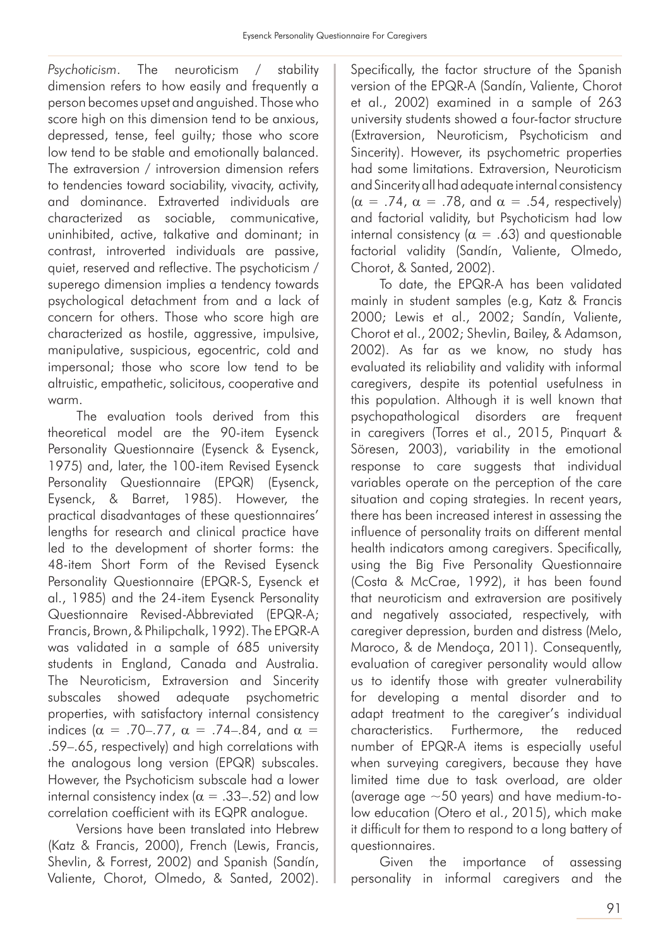*Psychoticism*. The neuroticism / stability dimension refers to how easily and frequently a person becomes upset and anguished. Those who score high on this dimension tend to be anxious, depressed, tense, feel guilty; those who score low tend to be stable and emotionally balanced. The extraversion / introversion dimension refers to tendencies toward sociability, vivacity, activity, and dominance. Extraverted individuals are characterized as sociable, communicative, uninhibited, active, talkative and dominant; in contrast, introverted individuals are passive, quiet, reserved and reflective. The psychoticism / superego dimension implies a tendency towards psychological detachment from and a lack of concern for others. Those who score high are characterized as hostile, aggressive, impulsive, manipulative, suspicious, egocentric, cold and impersonal; those who score low tend to be altruistic, empathetic, solicitous, cooperative and warm.

The evaluation tools derived from this theoretical model are the 90-item Eysenck Personality Questionnaire (Eysenck & Eysenck, 1975) and, later, the 100-item Revised Eysenck Personality Questionnaire (EPQR) (Eysenck, Eysenck, & Barret, 1985). However, the practical disadvantages of these questionnaires' lengths for research and clinical practice have led to the development of shorter forms: the 48-item Short Form of the Revised Eysenck Personality Questionnaire (EPQR-S, Eysenck et al., 1985) and the 24-item Eysenck Personality Questionnaire Revised-Abbreviated (EPQR-A; Francis, Brown, & Philipchalk, 1992). The EPQR-A was validated in a sample of 685 university students in England, Canada and Australia. The Neuroticism, Extraversion and Sincerity subscales showed adequate psychometric properties, with satisfactory internal consistency indices ( $\alpha$  = .70–.77,  $\alpha$  = .74–.84, and  $\alpha$  = .59–.65, respectively) and high correlations with the analogous long version (EPQR) subscales. However, the Psychoticism subscale had a lower internal consistency index ( $\alpha = .33-.52$ ) and low correlation coefficient with its EQPR analogue.

Versions have been translated into Hebrew (Katz & Francis, 2000), French (Lewis, Francis, Shevlin, & Forrest, 2002) and Spanish (Sandín, Valiente, Chorot, Olmedo, & Santed, 2002).

Specifically, the factor structure of the Spanish version of the EPQR-A (Sandín, Valiente, Chorot et al., 2002) examined in a sample of 263 university students showed a four-factor structure (Extraversion, Neuroticism, Psychoticism and Sincerity). However, its psychometric properties had some limitations. Extraversion, Neuroticism and Sincerity all had adequate internal consistency  $(\alpha = .74, \alpha = .78, \text{ and } \alpha = .54, \text{ respectively})$ and factorial validity, but Psychoticism had low internal consistency ( $\alpha = .63$ ) and questionable factorial validity (Sandín, Valiente, Olmedo, Chorot, & Santed, 2002).

To date, the EPQR-A has been validated mainly in student samples (e.g, Katz & Francis 2000; Lewis et al., 2002; Sandín, Valiente, Chorot et al., 2002; Shevlin, Bailey, & Adamson, 2002). As far as we know, no study has evaluated its reliability and validity with informal caregivers, despite its potential usefulness in this population. Although it is well known that psychopathological disorders are frequent in caregivers (Torres et al., 2015, Pinquart & Söresen, 2003), variability in the emotional response to care suggests that individual variables operate on the perception of the care situation and coping strategies. In recent years, there has been increased interest in assessing the influence of personality traits on different mental health indicators among caregivers. Specifically, using the Big Five Personality Questionnaire (Costa & McCrae, 1992), it has been found that neuroticism and extraversion are positively and negatively associated, respectively, with caregiver depression, burden and distress (Melo, Maroco, & de Mendoça, 2011). Consequently, evaluation of caregiver personality would allow us to identify those with greater vulnerability for developing a mental disorder and to adapt treatment to the caregiver's individual characteristics. Furthermore, the reduced number of EPQR-A items is especially useful when surveying caregivers, because they have limited time due to task overload, are older (average age ~50 years) and have medium-tolow education (Otero et al., 2015), which make it difficult for them to respond to a long battery of questionnaires.

Given the importance of assessing personality in informal caregivers and the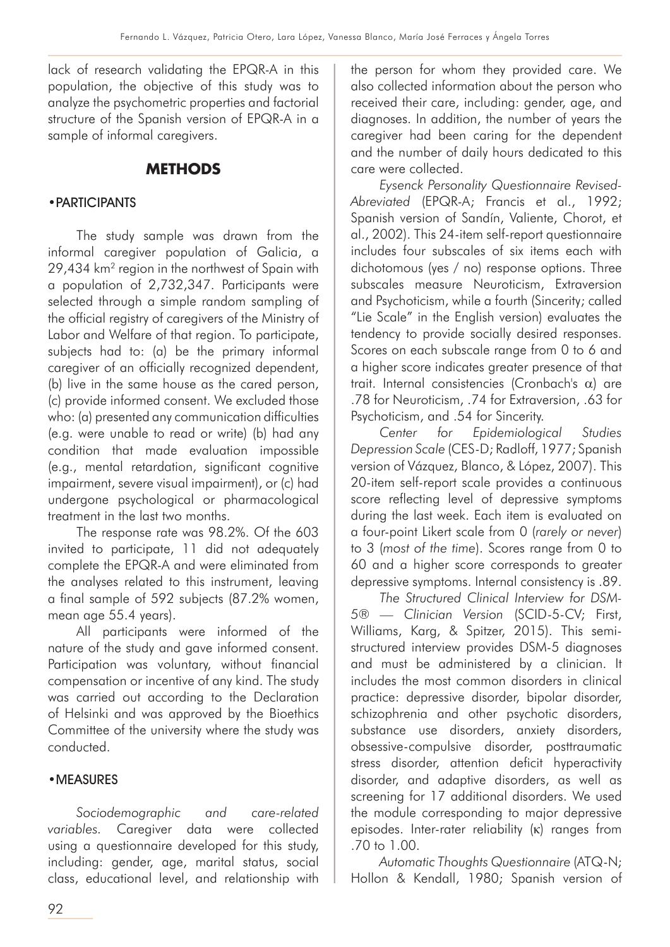lack of research validating the EPQR-A in this population, the objective of this study was to analyze the psychometric properties and factorial structure of the Spanish version of EPQR-A in a sample of informal caregivers.

## **METHODS**

#### •PARTICIPANTS

The study sample was drawn from the informal caregiver population of Galicia, a 29,434 km2 region in the northwest of Spain with a population of 2,732,347. Participants were selected through a simple random sampling of the official registry of caregivers of the Ministry of Labor and Welfare of that region. To participate, subjects had to: (a) be the primary informal caregiver of an officially recognized dependent, (b) live in the same house as the cared person, (c) provide informed consent. We excluded those who: (a) presented any communication difficulties (e.g. were unable to read or write) (b) had any condition that made evaluation impossible (e.g., mental retardation, significant cognitive impairment, severe visual impairment), or (c) had undergone psychological or pharmacological treatment in the last two months.

The response rate was 98.2%. Of the 603 invited to participate, 11 did not adequately complete the EPQR-A and were eliminated from the analyses related to this instrument, leaving a final sample of 592 subjects (87.2% women, mean age 55.4 years).

All participants were informed of the nature of the study and gave informed consent. Participation was voluntary, without financial compensation or incentive of any kind. The study was carried out according to the Declaration of Helsinki and was approved by the Bioethics Committee of the university where the study was conducted.

#### •MEASURES

*Sociodemographic and care-related variables.* Caregiver data were collected using a questionnaire developed for this study, including: gender, age, marital status, social class, educational level, and relationship with the person for whom they provided care. We also collected information about the person who received their care, including: gender, age, and diagnoses. In addition, the number of years the caregiver had been caring for the dependent and the number of daily hours dedicated to this care were collected.

*Eysenck Personality Questionnaire Revised-Abreviated* (EPQR-A; Francis et al., 1992; Spanish version of Sandín, Valiente, Chorot, et al., 2002). This 24-item self-report questionnaire includes four subscales of six items each with dichotomous (yes / no) response options. Three subscales measure Neuroticism, Extraversion and Psychoticism, while a fourth (Sincerity; called "Lie Scale" in the English version) evaluates the tendency to provide socially desired responses. Scores on each subscale range from 0 to 6 and a higher score indicates greater presence of that trait. Internal consistencies (Cronbach's α) are .78 for Neuroticism, .74 for Extraversion, .63 for Psychoticism, and .54 for Sincerity.

*Center for Epidemiological Studies Depression Scale* (CES-D; Radloff, 1977; Spanish version of Vázquez, Blanco, & López, 2007). This 20-item self-report scale provides a continuous score reflecting level of depressive symptoms during the last week. Each item is evaluated on a four-point Likert scale from 0 (*rarely or never*) to 3 (*most of the time*). Scores range from 0 to 60 and a higher score corresponds to greater depressive symptoms. Internal consistency is .89.

*The Structured Clinical Interview for DSM-5® — Clinician Version* (SCID-5-CV; First, Williams, Karg, & Spitzer, 2015). This semistructured interview provides DSM-5 diagnoses and must be administered by a clinician. It includes the most common disorders in clinical practice: depressive disorder, bipolar disorder, schizophrenia and other psychotic disorders, substance use disorders, anxiety disorders, obsessive-compulsive disorder, posttraumatic stress disorder, attention deficit hyperactivity disorder, and adaptive disorders, as well as screening for 17 additional disorders. We used the module corresponding to major depressive episodes. Inter-rater reliability (κ) ranges from .70 to 1.00.

*Automatic Thoughts Questionnaire* (ATQ-N; Hollon & Kendall, 1980; Spanish version of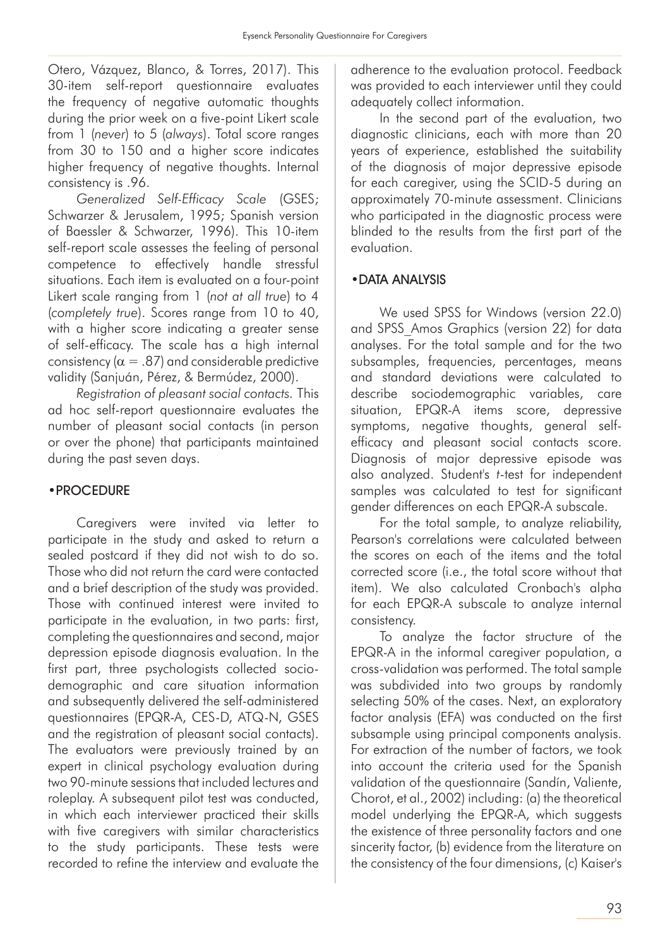Otero, Vázquez, Blanco, & Torres, 2017). This 30-item self-report questionnaire evaluates the frequency of negative automatic thoughts during the prior week on a five-point Likert scale from 1 (*never*) to 5 (*always*). Total score ranges from 30 to 150 and a higher score indicates higher frequency of negative thoughts. Internal consistency is .96.

*Generalized Self-Efficacy Scale* (GSES; Schwarzer & Jerusalem, 1995; Spanish version of Baessler & Schwarzer, 1996). This 10-item self-report scale assesses the feeling of personal competence to effectively handle stressful situations. Each item is evaluated on a four-point Likert scale ranging from 1 (*not at all true*) to 4 (*completely true*). Scores range from 10 to 40, with a higher score indicating a greater sense of self-efficacy. The scale has a high internal consistency ( $\alpha = .87$ ) and considerable predictive validity (Sanjuán, Pérez, & Bermúdez, 2000).

*Registration of pleasant social contacts.* This ad hoc self-report questionnaire evaluates the number of pleasant social contacts (in person or over the phone) that participants maintained during the past seven days.

#### •PROCEDURE

Caregivers were invited via letter to participate in the study and asked to return a sealed postcard if they did not wish to do so. Those who did not return the card were contacted and a brief description of the study was provided. Those with continued interest were invited to participate in the evaluation, in two parts: first, completing the questionnaires and second, major depression episode diagnosis evaluation. In the first part, three psychologists collected sociodemographic and care situation information and subsequently delivered the self-administered questionnaires (EPQR-A, CES-D, ATQ-N, GSES and the registration of pleasant social contacts). The evaluators were previously trained by an expert in clinical psychology evaluation during two 90-minute sessions that included lectures and roleplay. A subsequent pilot test was conducted, in which each interviewer practiced their skills with five caregivers with similar characteristics to the study participants. These tests were recorded to refine the interview and evaluate the

adherence to the evaluation protocol. Feedback was provided to each interviewer until they could adequately collect information.

In the second part of the evaluation, two diagnostic clinicians, each with more than 20 years of experience, established the suitability of the diagnosis of major depressive episode for each caregiver, using the SCID-5 during an approximately 70-minute assessment. Clinicians who participated in the diagnostic process were blinded to the results from the first part of the evaluation.

#### •DATA ANALYSIS

We used SPSS for Windows (version 22.0) and SPSS\_Amos Graphics (version 22) for data analyses. For the total sample and for the two subsamples, frequencies, percentages, means and standard deviations were calculated to describe sociodemographic variables, care situation, EPQR-A items score, depressive symptoms, negative thoughts, general selfefficacy and pleasant social contacts score. Diagnosis of major depressive episode was also analyzed. Student's *t*-test for independent samples was calculated to test for significant gender differences on each EPQR-A subscale.

For the total sample, to analyze reliability, Pearson's correlations were calculated between the scores on each of the items and the total corrected score (i.e., the total score without that item). We also calculated Cronbach's alpha for each EPQR-A subscale to analyze internal consistency.

To analyze the factor structure of the EPQR-A in the informal caregiver population, a cross-validation was performed. The total sample was subdivided into two groups by randomly selecting 50% of the cases. Next, an exploratory factor analysis (EFA) was conducted on the first subsample using principal components analysis. For extraction of the number of factors, we took into account the criteria used for the Spanish validation of the questionnaire (Sandín, Valiente, Chorot, et al., 2002) including: (a) the theoretical model underlying the EPQR-A, which suggests the existence of three personality factors and one sincerity factor, (b) evidence from the literature on the consistency of the four dimensions, (c) Kaiser's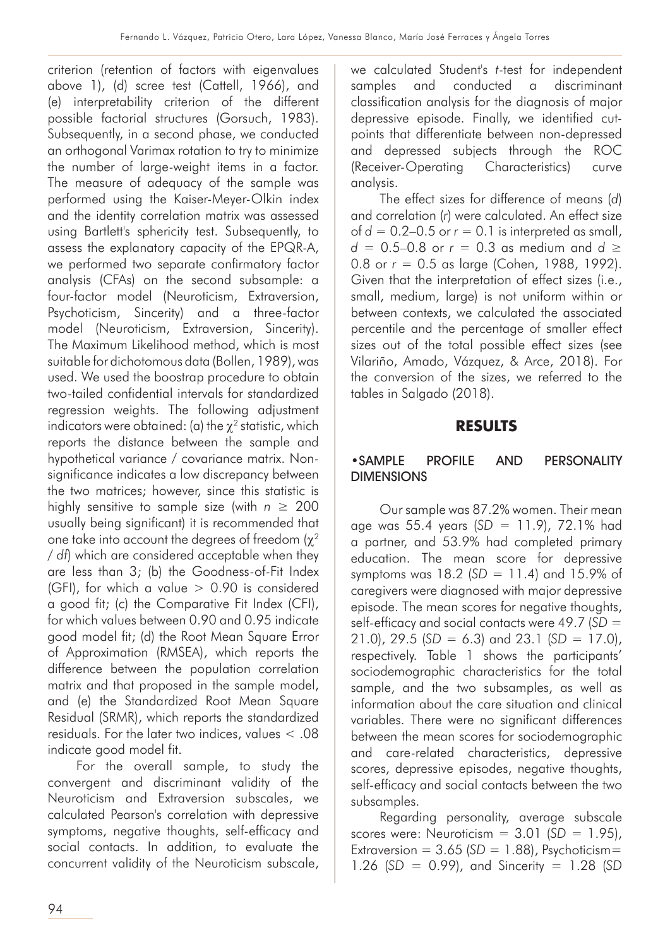criterion (retention of factors with eigenvalues above 1), (d) scree test (Cattell, 1966), and (e) interpretability criterion of the different possible factorial structures (Gorsuch, 1983). Subsequently, in a second phase, we conducted an orthogonal Varimax rotation to try to minimize the number of large-weight items in a factor. The measure of adequacy of the sample was performed using the Kaiser-Meyer-Olkin index and the identity correlation matrix was assessed using Bartlett's sphericity test. Subsequently, to assess the explanatory capacity of the EPQR-A, we performed two separate confirmatory factor analysis (CFAs) on the second subsample: a four-factor model (Neuroticism, Extraversion, Psychoticism, Sincerity) and a three-factor model (Neuroticism, Extraversion, Sincerity). The Maximum Likelihood method, which is most suitable for dichotomous data (Bollen, 1989), was used. We used the boostrap procedure to obtain two-tailed confidential intervals for standardized regression weights. The following adjustment indicators were obtained: (a) the  $\chi^2$  statistic, which reports the distance between the sample and hypothetical variance / covariance matrix. Nonsignificance indicates a low discrepancy between the two matrices; however, since this statistic is highly sensitive to sample size (with  $n \geq 200$ usually being significant) it is recommended that one take into account the degrees of freedom  $(\chi^2)$ / *df*) which are considered acceptable when they are less than 3; (b) the Goodness-of-Fit Index (GFI), for which a value  $> 0.90$  is considered a good fit; (c) the Comparative Fit Index (CFI), for which values between 0.90 and 0.95 indicate good model fit; (d) the Root Mean Square Error of Approximation (RMSEA), which reports the difference between the population correlation matrix and that proposed in the sample model, and (e) the Standardized Root Mean Square Residual (SRMR), which reports the standardized residuals. For the later two indices, values < .08 indicate good model fit.

For the overall sample, to study the convergent and discriminant validity of the Neuroticism and Extraversion subscales, we calculated Pearson's correlation with depressive symptoms, negative thoughts, self-efficacy and social contacts. In addition, to evaluate the concurrent validity of the Neuroticism subscale, we calculated Student's *t*-test for independent samples and conducted a discriminant classification analysis for the diagnosis of major depressive episode. Finally, we identified cutpoints that differentiate between non-depressed and depressed subjects through the ROC (Receiver-Operating Characteristics) curve analysis.

The effect sizes for difference of means (*d*) and correlation (*r*) were calculated. An effect size of  $d = 0.2-0.5$  or  $r = 0.1$  is interpreted as small, *d* = 0.5–0.8 or *r* = 0.3 as medium and *d* ≥ 0.8 or *r* = 0.5 as large (Cohen, 1988, 1992). Given that the interpretation of effect sizes (i.e., small, medium, large) is not uniform within or between contexts, we calculated the associated percentile and the percentage of smaller effect sizes out of the total possible effect sizes (see Vilariño, Amado, Vázquez, & Arce, 2018). For the conversion of the sizes, we referred to the tables in Salgado (2018).

#### **RESULTS**

#### •SAMPLE PROFILE AND PERSONALITY DIMENSIONS

Our sample was 87.2% women. Their mean age was 55.4 years (*SD* = 11.9), 72.1% had a partner, and 53.9% had completed primary education. The mean score for depressive symptoms was 18.2 (*SD* = 11.4) and 15.9% of caregivers were diagnosed with major depressive episode. The mean scores for negative thoughts, self-efficacy and social contacts were 49.7 (*SD* = 21.0), 29.5 (*SD* = 6.3) and 23.1 (*SD* = 17.0), respectively. Table 1 shows the participants' sociodemographic characteristics for the total sample, and the two subsamples, as well as information about the care situation and clinical variables. There were no significant differences between the mean scores for sociodemographic and care-related characteristics, depressive scores, depressive episodes, negative thoughts, self-efficacy and social contacts between the two subsamples.

Regarding personality, average subscale scores were: Neuroticism = 3.01 (*SD* = 1.95), Extraversion =  $3.65$  ( $SD = 1.88$ ), Psychoticism= 1.26 (*SD* = 0.99), and Sincerity = 1.28 (*SD*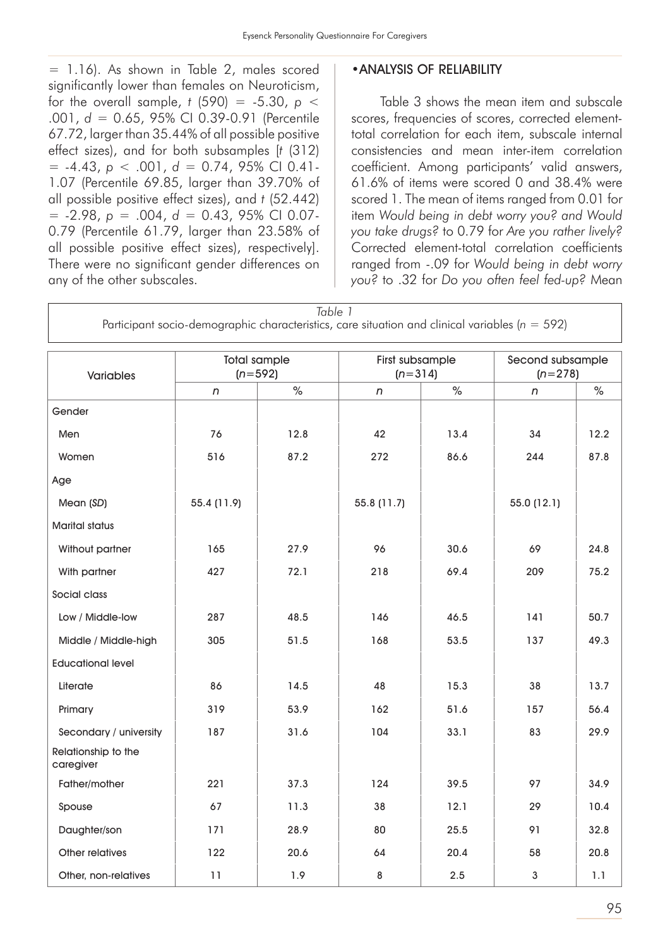*Table 1*

= 1.16). As shown in Table 2, males scored significantly lower than females on Neuroticism, for the overall sample,  $t$  (590) = -5.30,  $p$  < .001, *d* = 0.65, 95% CI 0.39-0.91 (Percentile 67.72, larger than 35.44% of all possible positive effect sizes), and for both subsamples [*t* (312)  $= -4.43$ ,  $p < .001$ ,  $d = 0.74$ , 95% CI 0.41-1.07 (Percentile 69.85, larger than 39.70% of all possible positive effect sizes), and *t* (52.442) = -2.98, *p* = .004, *d* = 0.43, 95% CI 0.07- 0.79 (Percentile 61.79, larger than 23.58% of all possible positive effect sizes), respectively]. There were no significant gender differences on any of the other subscales.

#### •ANALYSIS OF RELIABILITY

Table 3 shows the mean item and subscale scores, frequencies of scores, corrected elementtotal correlation for each item, subscale internal consistencies and mean inter-item correlation coefficient. Among participants' valid answers, 61.6% of items were scored 0 and 38.4% were scored 1. The mean of items ranged from 0.01 for item *Would being in debt worry you? and Would you take drugs?* to 0.79 for *Are you rather lively?* Corrected element-total correlation coefficients ranged from -.09 for *Would being in debt worry you?* to .32 for *Do you often feel fed-up?* Mean

| Taple T<br>Participant socio-demographic characteristics, care situation and clinical variables ( $n = 592$ ) |             |                                  |                              |      |                               |      |  |
|---------------------------------------------------------------------------------------------------------------|-------------|----------------------------------|------------------------------|------|-------------------------------|------|--|
| Variables                                                                                                     |             | <b>Total sample</b><br>$(n=592)$ | First subsample<br>$(n=314)$ |      | Second subsample<br>$(n=278)$ |      |  |
|                                                                                                               | n           | $\%$                             | n                            | $\%$ | $\sqrt{n}$                    | $\%$ |  |
| Gender                                                                                                        |             |                                  |                              |      |                               |      |  |
| Men                                                                                                           | 76          | 12.8                             | 42                           | 13.4 | 34                            | 12.2 |  |
| Women                                                                                                         | 516         | 87.2                             | 272                          | 86.6 | 244                           | 87.8 |  |
| Age                                                                                                           |             |                                  |                              |      |                               |      |  |
| Mean (SD)                                                                                                     | 55.4 (11.9) |                                  | 55.8 (11.7)                  |      | 55.0 (12.1)                   |      |  |
| <b>Marital status</b>                                                                                         |             |                                  |                              |      |                               |      |  |
| Without partner                                                                                               | 165         | 27.9                             | 96                           | 30.6 | 69                            | 24.8 |  |
| With partner                                                                                                  | 427         | 72.1                             | 218                          | 69.4 | 209                           | 75.2 |  |
| Social class                                                                                                  |             |                                  |                              |      |                               |      |  |
| Low / Middle-low                                                                                              | 287         | 48.5                             | 146                          | 46.5 | 141                           | 50.7 |  |
| Middle / Middle-high                                                                                          | 305         | 51.5                             | 168                          | 53.5 | 137                           | 49.3 |  |
| <b>Educational level</b>                                                                                      |             |                                  |                              |      |                               |      |  |
| Literate                                                                                                      | 86          | 14.5                             | 48                           | 15.3 | 38                            | 13.7 |  |
| Primary                                                                                                       | 319         | 53.9                             | 162                          | 51.6 | 157                           | 56.4 |  |
| Secondary / university                                                                                        | 187         | 31.6                             | 104                          | 33.1 | 83                            | 29.9 |  |
| Relationship to the<br>caregiver                                                                              |             |                                  |                              |      |                               |      |  |
| Father/mother                                                                                                 | 221         | 37.3                             | 124                          | 39.5 | 97                            | 34.9 |  |
| Spouse                                                                                                        | 67          | 11.3                             | 38                           | 12.1 | 29                            | 10.4 |  |
| Daughter/son                                                                                                  | 171         | 28.9                             | 80                           | 25.5 | 91                            | 32.8 |  |
| Other relatives                                                                                               | 122         | 20.6                             | 64                           | 20.4 | 58                            | 20.8 |  |
| Other, non-relatives                                                                                          | 11          | 1.9                              | 8                            | 2.5  | $\mathsf 3$                   | 1.1  |  |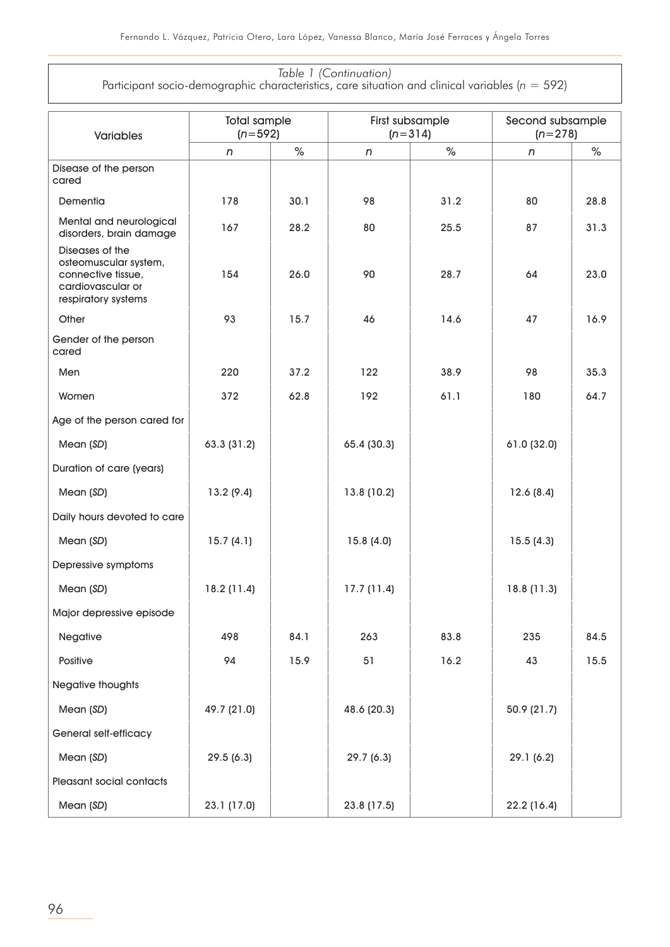#### *Table 1 (Continuation)* Participant socio-demographic characteristics, care situation and clinical variables (*n* = 592)

| <b>Variables</b>                                                                                           | <b>Total sample</b><br>$(n=592)$ |      |             | First subsample<br>$(n=314)$ | Second subsample<br>$(n=278)$ |      |
|------------------------------------------------------------------------------------------------------------|----------------------------------|------|-------------|------------------------------|-------------------------------|------|
|                                                                                                            | n                                | $\%$ | n           | $\%$                         | n                             | $\%$ |
| Disease of the person<br>cared                                                                             |                                  |      |             |                              |                               |      |
| Dementia                                                                                                   | 178                              | 30.1 | 98          | 31.2                         | 80                            | 28.8 |
| Mental and neurological<br>disorders, brain damage                                                         | 167                              | 28.2 | 80          | 25.5                         | 87                            | 31.3 |
| Diseases of the<br>osteomuscular system,<br>connective tissue,<br>cardiovascular or<br>respiratory systems | 154                              | 26.0 | 90          | 28.7                         | 64                            | 23.0 |
| Other                                                                                                      | 93                               | 15.7 | 46          | 14.6                         | 47                            | 16.9 |
| Gender of the person<br>cared                                                                              |                                  |      |             |                              |                               |      |
| Men                                                                                                        | 220                              | 37.2 | 122         | 38.9                         | 98                            | 35.3 |
| Women                                                                                                      | 372                              | 62.8 | 192         | 61.1                         | 180                           | 64.7 |
| Age of the person cared for                                                                                |                                  |      |             |                              |                               |      |
| Mean (SD)                                                                                                  | 63.3 (31.2)                      |      | 65.4 (30.3) |                              | 61.0 (32.0)                   |      |
| Duration of care (years)                                                                                   |                                  |      |             |                              |                               |      |
| Mean (SD)                                                                                                  | 13.2(9.4)                        |      | 13.8 (10.2) |                              | 12.6(8.4)                     |      |
| Daily hours devoted to care                                                                                |                                  |      |             |                              |                               |      |
| Mean (SD)                                                                                                  | 15.7(4.1)                        |      | 15.8(4.0)   |                              | 15.5(4.3)                     |      |
| Depressive symptoms                                                                                        |                                  |      |             |                              |                               |      |
| Mean (SD)                                                                                                  | 18.2(11.4)                       |      | 17.7(11.4)  |                              | 18.8 (11.3)                   |      |
| Major depressive episode                                                                                   |                                  |      |             |                              |                               |      |
| Negative                                                                                                   | 498                              | 84.1 | 263         | 83.8                         | 235                           | 84.5 |
| Positive                                                                                                   | 94                               | 15.9 | 51          | 16.2                         | 43                            | 15.5 |
| Negative thoughts                                                                                          |                                  |      |             |                              |                               |      |
| Mean (SD)                                                                                                  | 49.7 (21.0)                      |      | 48.6 (20.3) |                              | 50.9 (21.7)                   |      |
| General self-efficacy                                                                                      |                                  |      |             |                              |                               |      |
| Mean (SD)                                                                                                  | 29.5(6.3)                        |      | 29.7(6.3)   |                              | 29.1 (6.2)                    |      |
| Pleasant social contacts                                                                                   |                                  |      |             |                              |                               |      |
| Mean (SD)                                                                                                  | 23.1 (17.0)                      |      | 23.8 (17.5) |                              | 22.2 (16.4)                   |      |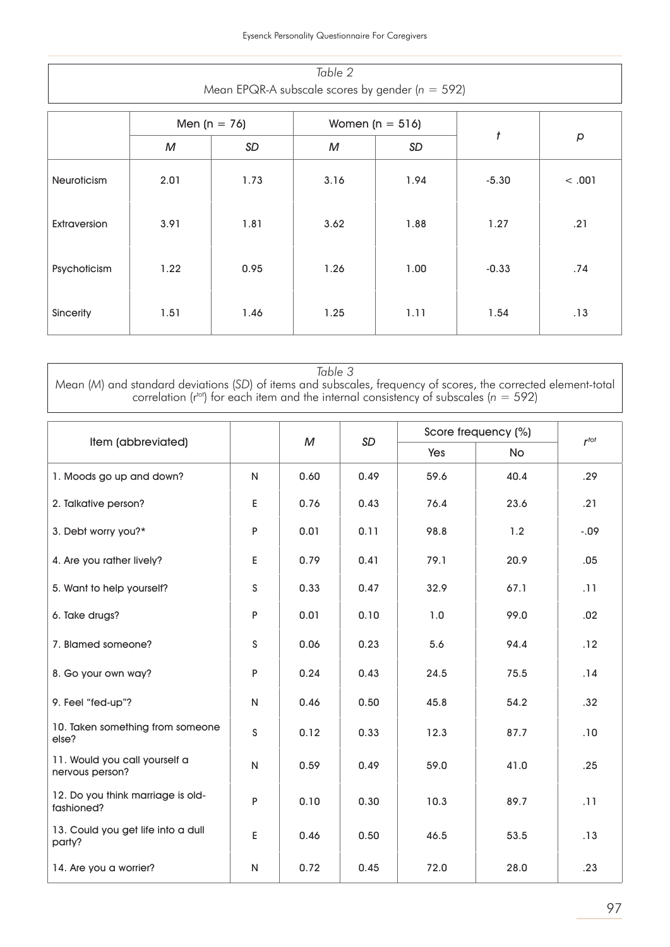| Table 2<br>Mean EPQR-A subscale scores by gender ( $n = 592$ ) |      |      |      |      |                  |        |  |
|----------------------------------------------------------------|------|------|------|------|------------------|--------|--|
|                                                                |      |      |      |      |                  |        |  |
|                                                                | М    | SD   | M    | SD   | $\boldsymbol{t}$ | p      |  |
| Neuroticism                                                    | 2.01 | 1.73 | 3.16 | 1.94 | $-5.30$          | < .001 |  |
| <b>Extraversion</b>                                            | 3.91 | 1.81 | 3.62 | 1.88 | 1.27             | .21    |  |
| Psychoticism                                                   | 1.22 | 0.95 | 1.26 | 1.00 | $-0.33$          | .74    |  |
| Sincerity                                                      | 1.51 | 1.46 | 1.25 | 1.11 | 1.54             | .13    |  |

*Table 3* Mean (*M*) and standard deviations (*SD*) of items and subscales, frequency of scores, the corrected element-total correlation ( $r<sup>tot</sup>$ ) for each item and the internal consistency of subscales ( $n = 592$ )

|                                                  |              |      | <b>SD</b> | Score frequency (%) | $r^{tot}$ |         |
|--------------------------------------------------|--------------|------|-----------|---------------------|-----------|---------|
| Item (abbreviated)                               |              | M    |           | Yes                 | No        |         |
| 1. Moods go up and down?                         | $\mathsf{N}$ | 0.60 | 0.49      | 59.6                | 40.4      | .29     |
| 2. Talkative person?                             | E            | 0.76 | 0.43      | 76.4                | 23.6      | .21     |
| 3. Debt worry you?*                              | P            | 0.01 | 0.11      | 98.8                | 1.2       | $-0.09$ |
| 4. Are you rather lively?                        | E            | 0.79 | 0.41      | 79.1                | 20.9      | .05     |
| 5. Want to help yourself?                        | S            | 0.33 | 0.47      | 32.9                | 67.1      | .11     |
| 6. Take drugs?                                   | P            | 0.01 | 0.10      | 1.0                 | 99.0      | .02     |
| 7. Blamed someone?                               | S            | 0.06 | 0.23      | 5.6                 | 94.4      | .12     |
| 8. Go your own way?                              | P            | 0.24 | 0.43      | 24.5                | 75.5      | .14     |
| 9. Feel "fed-up"?                                | N            | 0.46 | 0.50      | 45.8                | 54.2      | .32     |
| 10. Taken something from someone<br>else?        | S            | 0.12 | 0.33      | 12.3                | 87.7      | .10     |
| 11. Would you call yourself a<br>nervous person? | $\mathsf{N}$ | 0.59 | 0.49      | 59.0                | 41.0      | .25     |
| 12. Do you think marriage is old-<br>fashioned?  | P            | 0.10 | 0.30      | 10.3                | 89.7      | .11     |
| 13. Could you get life into a dull<br>party?     | E            | 0.46 | 0.50      | 46.5                | 53.5      | .13     |
| 14. Are you a worrier?                           | $\mathsf{N}$ | 0.72 | 0.45      | 72.0                | 28.0      | .23     |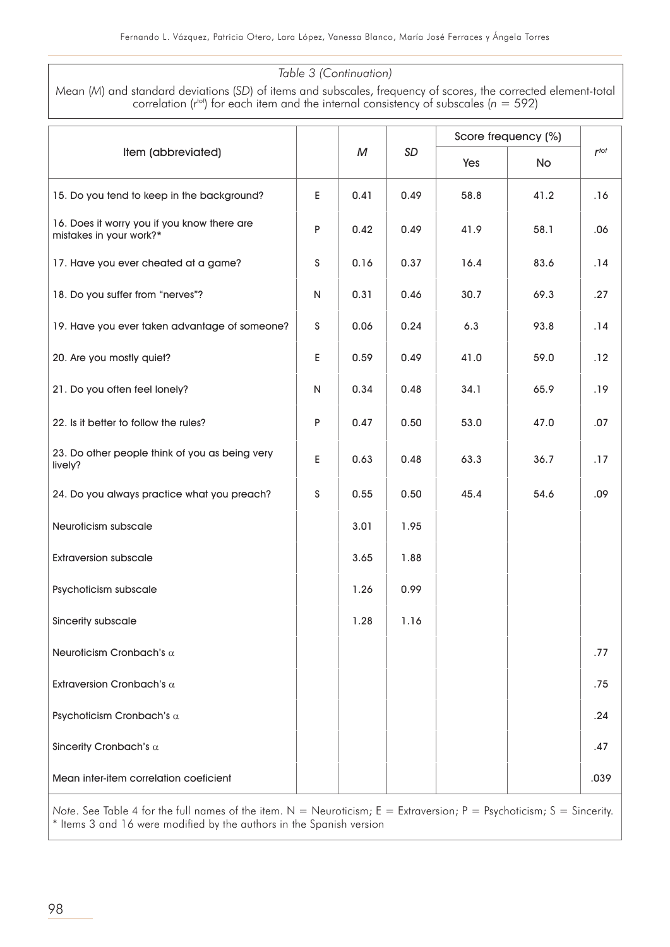#### *Table 3 (Continuation)*

Mean (*M*) and standard deviations (*SD*) of items and subscales, frequency of scores, the corrected element-total correlation ( $r<sup>tot</sup>$ ) for each item and the internal consistency of subscales ( $n = 592$ )

|                                                                        |   |      |           | Score frequency (%) |      |           |
|------------------------------------------------------------------------|---|------|-----------|---------------------|------|-----------|
| Item (abbreviated)                                                     |   | M    | <b>SD</b> | Yes                 | No   | $r^{tot}$ |
| 15. Do you tend to keep in the background?                             | E | 0.41 | 0.49      | 58.8                | 41.2 | .16       |
| 16. Does it worry you if you know there are<br>mistakes in your work?* | P | 0.42 | 0.49      | 41.9                | 58.1 | .06       |
| 17. Have you ever cheated at a game?                                   | S | 0.16 | 0.37      | 16.4                | 83.6 | .14       |
| 18. Do you suffer from "nerves"?                                       | N | 0.31 | 0.46      | 30.7                | 69.3 | .27       |
| 19. Have you ever taken advantage of someone?                          | S | 0.06 | 0.24      | 6.3                 | 93.8 | .14       |
| 20. Are you mostly quiet?                                              | E | 0.59 | 0.49      | 41.0                | 59.0 | .12       |
| 21. Do you often feel lonely?                                          | N | 0.34 | 0.48      | 34.1                | 65.9 | .19       |
| 22. Is it better to follow the rules?                                  | P | 0.47 | 0.50      | 53.0                | 47.0 | .07       |
| 23. Do other people think of you as being very<br>lively?              | E | 0.63 | 0.48      | 63.3                | 36.7 | .17       |
| 24. Do you always practice what you preach?                            | S | 0.55 | 0.50      | 45.4                | 54.6 | .09       |
| Neuroticism subscale                                                   |   | 3.01 | 1.95      |                     |      |           |
| <b>Extraversion subscale</b>                                           |   | 3.65 | 1.88      |                     |      |           |
| Psychoticism subscale                                                  |   | 1.26 | 0.99      |                     |      |           |
| Sincerity subscale                                                     |   | 1.28 | 1.16      |                     |      |           |
| Neuroticism Cronbach's $\alpha$                                        |   |      |           |                     |      | .77       |
| Extraversion Cronbach's $\alpha$                                       |   |      |           |                     |      | .75       |
| Psychoticism Cronbach's $\alpha$                                       |   |      |           |                     |      | .24       |
| Sincerity Cronbach's $\alpha$                                          |   |      |           |                     |      | .47       |
| Mean inter-item correlation coeficient                                 |   |      |           |                     |      | .039      |

*Note*. See Table 4 for the full names of the item. N = Neuroticism; E = Extraversion; P = Psychoticism; S = Sincerity. \* Items 3 and 16 were modified by the authors in the Spanish version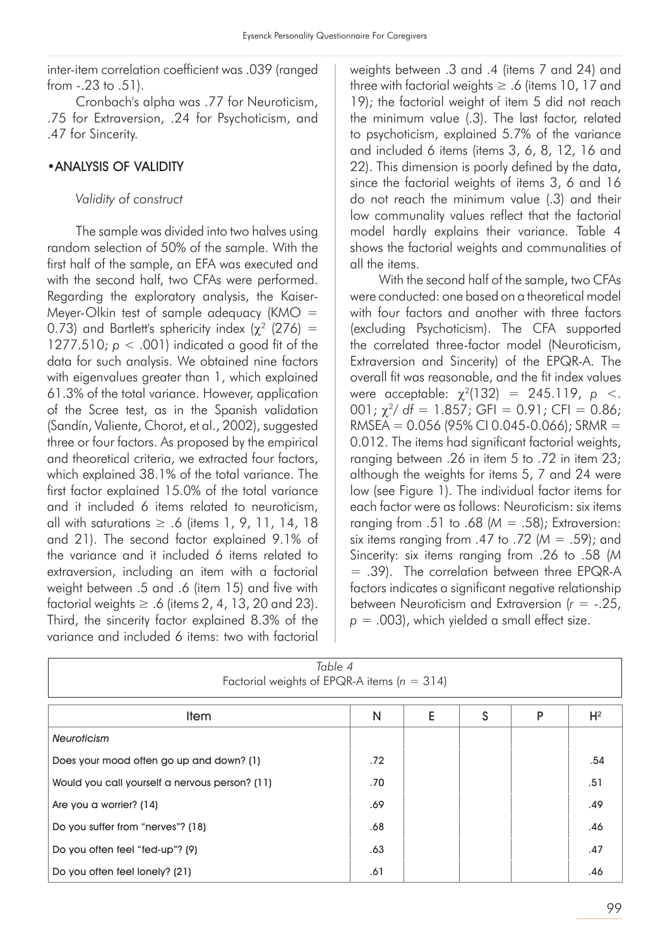inter-item correlation coefficient was .039 (ranged from -.23 to .51).

Cronbach's alpha was .77 for Neuroticism, .75 for Extraversion, .24 for Psychoticism, and .47 for Sincerity.

#### •ANALYSIS OF VALIDITY

*Validity of construct* 

The sample was divided into two halves using random selection of 50% of the sample. With the first half of the sample, an EFA was executed and with the second half, two CFAs were performed. Regarding the exploratory analysis, the Kaiser-Meyer-Olkin test of sample adequacy (KMO  $=$ 0.73) and Bartlett's sphericity index ( $\chi^2$  (276) = 1277.510;  $p < .001$ ) indicated a good fit of the data for such analysis. We obtained nine factors with eigenvalues greater than 1, which explained 61.3% of the total variance. However, application of the Scree test, as in the Spanish validation (Sandín, Valiente, Chorot, et al., 2002), suggested three or four factors. As proposed by the empirical and theoretical criteria, we extracted four factors, which explained 38.1% of the total variance. The first factor explained 15.0% of the total variance and it included 6 items related to neuroticism, all with saturations  $\geq$  .6 (items 1, 9, 11, 14, 18 and 21). The second factor explained 9.1% of the variance and it included 6 items related to extraversion, including an item with a factorial weight between .5 and .6 (item 15) and five with factorial weights  $\geq$  .6 (items 2, 4, 13, 20 and 23). Third, the sincerity factor explained 8.3% of the variance and included 6 items: two with factorial

weights between .3 and .4 (items 7 and 24) and three with factorial weights  $\geq$  .6 (items 10, 17 and 19); the factorial weight of item 5 did not reach the minimum value (.3). The last factor, related to psychoticism, explained 5.7% of the variance and included 6 items (items 3, 6, 8, 12, 16 and 22). This dimension is poorly defined by the data, since the factorial weights of items 3, 6 and 16 do not reach the minimum value (.3) and their low communality values reflect that the factorial model hardly explains their variance. Table 4 shows the factorial weights and communalities of all the items.

With the second half of the sample, two CFAs were conducted: one based on a theoretical model with four factors and another with three factors (excluding Psychoticism). The CFA supported the correlated three-factor model (Neuroticism, Extraversion and Sincerity) of the EPQR-A. The overall fit was reasonable, and the fit index values were acceptable:  $\chi^2(132) = 245.119$ , *p* <.  $001$ ;  $\chi^2$  df = 1.857; GFI = 0.91; CFI = 0.86;  $RMSEA = 0.056$  (95% CI 0.045-0.066); SRMR = 0.012. The items had significant factorial weights, ranging between .26 in item 5 to .72 in item 23; although the weights for items 5, 7 and 24 were low (see Figure 1). The individual factor items for each factor were as follows: Neuroticism: six items ranging from .51 to .68 (*M* = .58); Extraversion: six items ranging from .47 to .72 (*M* = .59); and Sincerity: six items ranging from .26 to .58 (*M* = .39). The correlation between three EPQR-A factors indicates a significant negative relationship between Neuroticism and Extraversion (*r* = -.25, *p* = .003), which yielded a small effect size.

| Table 4<br>Factorial weights of EPQR-A items ( $n = 314$ ) |     |  |  |  |     |  |  |  |
|------------------------------------------------------------|-----|--|--|--|-----|--|--|--|
| E<br>S<br>$H^2$<br>N<br>P<br><b>Item</b>                   |     |  |  |  |     |  |  |  |
| <b>Neuroticism</b>                                         |     |  |  |  |     |  |  |  |
| Does your mood often go up and down? (1)                   | .72 |  |  |  | .54 |  |  |  |
| Would you call yourself a nervous person? (11)             | .70 |  |  |  | .51 |  |  |  |
| Are you a worrier? (14)                                    | .69 |  |  |  | .49 |  |  |  |
| Do you suffer from "nerves"? (18)                          | .68 |  |  |  | .46 |  |  |  |
| Do you often feel "fed-up"? (9)                            | .63 |  |  |  | .47 |  |  |  |
| Do you often feel lonely? (21)                             | .61 |  |  |  | .46 |  |  |  |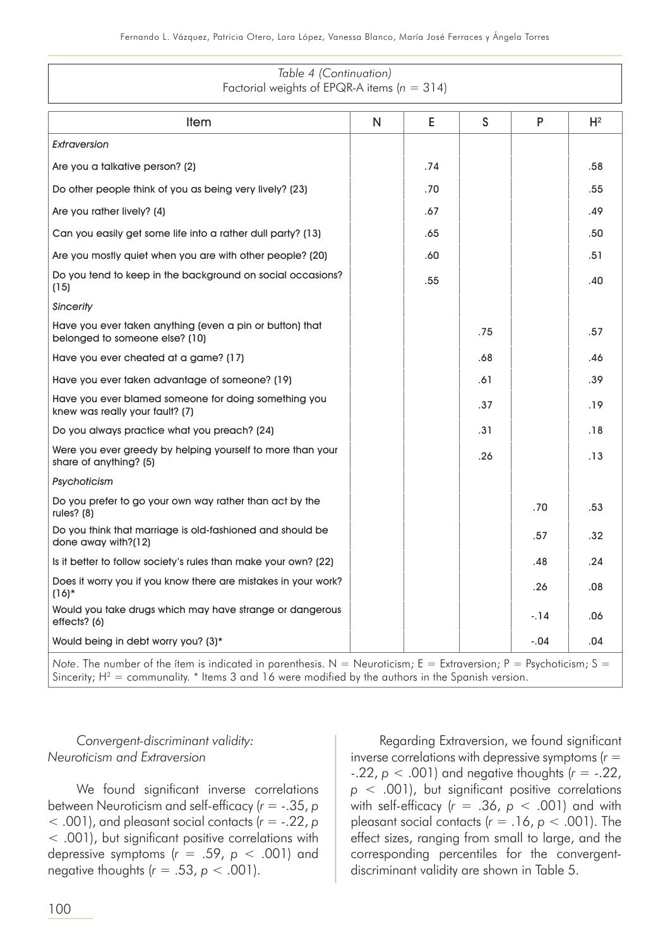*Table 4 (Continuation)*

| Factorial weights of EPQR-A items ( $n = 314$ )                                                                                                                                                                             |   |     |     |        |       |  |
|-----------------------------------------------------------------------------------------------------------------------------------------------------------------------------------------------------------------------------|---|-----|-----|--------|-------|--|
| <b>Item</b>                                                                                                                                                                                                                 | N | E   | S   | P      | $H^2$ |  |
| Extraversion                                                                                                                                                                                                                |   |     |     |        |       |  |
| Are you a talkative person? (2)                                                                                                                                                                                             |   | .74 |     |        | .58   |  |
| Do other people think of you as being very lively? (23)                                                                                                                                                                     |   | .70 |     |        | .55   |  |
| Are you rather lively? (4)                                                                                                                                                                                                  |   | .67 |     |        | .49   |  |
| Can you easily get some life into a rather dull party? (13)                                                                                                                                                                 |   | .65 |     |        | .50   |  |
| Are you mostly quiet when you are with other people? (20)                                                                                                                                                                   |   | .60 |     |        | .51   |  |
| Do you tend to keep in the background on social occasions?<br>(15)                                                                                                                                                          |   | .55 |     |        | .40   |  |
| <b>Sincerity</b>                                                                                                                                                                                                            |   |     |     |        |       |  |
| Have you ever taken anything (even a pin or button) that<br>belonged to someone else? (10)                                                                                                                                  |   |     | .75 |        | .57   |  |
| Have you ever cheated at a game? (17)                                                                                                                                                                                       |   |     | .68 |        | .46   |  |
| Have you ever taken advantage of someone? (19)                                                                                                                                                                              |   |     | .61 |        | .39   |  |
| Have you ever blamed someone for doing something you<br>knew was really your fault? (7)                                                                                                                                     |   |     | .37 |        | .19   |  |
| Do you always practice what you preach? (24)                                                                                                                                                                                |   |     | .31 |        | .18   |  |
| Were you ever greedy by helping yourself to more than your<br>share of anything? (5)                                                                                                                                        |   |     | .26 |        | .13   |  |
| Psychoticism                                                                                                                                                                                                                |   |     |     |        |       |  |
| Do you prefer to go your own way rather than act by the<br>rules? $(8)$                                                                                                                                                     |   |     |     | .70    | .53   |  |
| Do you think that marriage is old-fashioned and should be<br>done away with?(12)                                                                                                                                            |   |     |     | .57    | .32   |  |
| Is it better to follow society's rules than make your own? (22)                                                                                                                                                             |   |     |     | .48    | .24   |  |
| Does it worry you if you know there are mistakes in your work?<br>$(16)^*$                                                                                                                                                  |   |     |     | .26    | .08   |  |
| Would you take drugs which may have strange or dangerous<br>effects? (6)                                                                                                                                                    |   |     |     | $-14$  | .06   |  |
| Would being in debt worry you? (3)*                                                                                                                                                                                         |   |     |     | $-.04$ | .04   |  |
| Note. The number of the ítem is indicated in parenthesis. N = Neuroticism; E = Extraversion; P = Psychoticism; S =<br>Sincerity; $H^2$ = communality. * Items 3 and 16 were modified by the authors in the Spanish version. |   |     |     |        |       |  |

#### *Convergent-discriminant validity: Neuroticism and Extraversion*

We found significant inverse correlations between Neuroticism and self-efficacy (*r* = -.35, *p* < .001), and pleasant social contacts (*r* = -.22, *p* < .001), but significant positive correlations with depressive symptoms (*r* = .59, *p* < .001) and negative thoughts  $(r = .53, p < .001)$ .

Regarding Extraversion, we found significant inverse correlations with depressive symptoms (*r* =  $-22$ ,  $p < 0.001$ ) and negative thoughts ( $r = -22$ , *p* < .001), but significant positive correlations with self-efficacy (*r* = .36, *p* < .001) and with pleasant social contacts  $(r = .16, p < .001)$ . The effect sizes, ranging from small to large, and the corresponding percentiles for the convergentdiscriminant validity are shown in Table 5.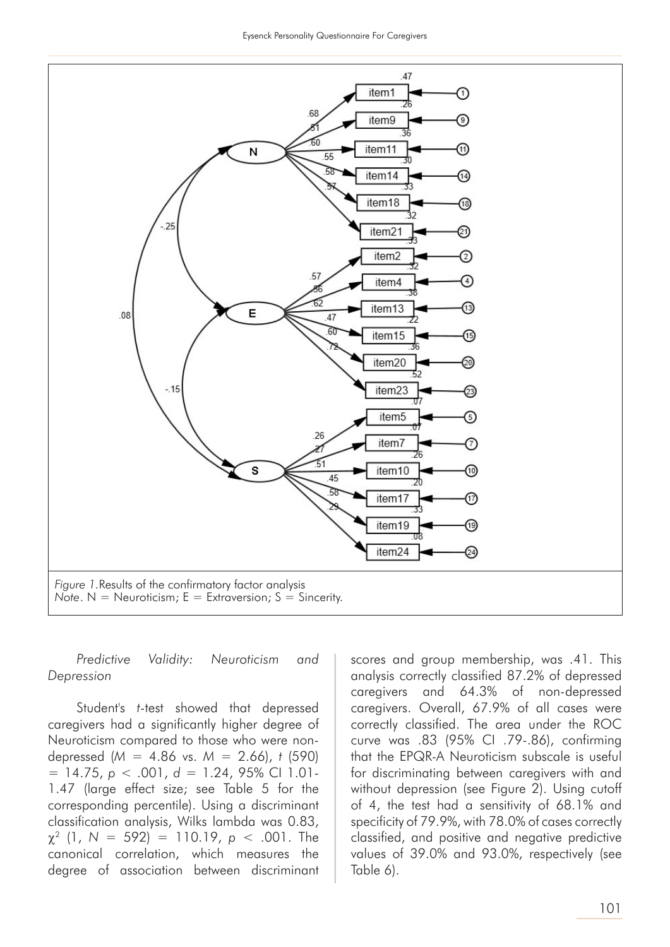

*Predictive Validity: Neuroticism and Depression* 

Student's *t*-test showed that depressed caregivers had a significantly higher degree of Neuroticism compared to those who were nondepressed (*M* = 4.86 vs. *M* = 2.66), *t* (590) = 14.75, *p* < .001, *d* = 1.24, 95% CI 1.01- 1.47 (large effect size; see Table 5 for the corresponding percentile). Using a discriminant classification analysis, Wilks lambda was 0.83,  $\chi^2$  (1, N = 592) = 110.19,  $p < .001$ . The canonical correlation, which measures the degree of association between discriminant

scores and group membership, was .41. This analysis correctly classified 87.2% of depressed caregivers and 64.3% of non-depressed caregivers. Overall, 67.9% of all cases were correctly classified. The area under the ROC curve was .83 (95% CI .79-.86), confirming that the EPQR-A Neuroticism subscale is useful for discriminating between caregivers with and without depression (see Figure 2). Using cutoff of 4, the test had a sensitivity of 68.1% and specificity of 79.9%, with 78.0% of cases correctly classified, and positive and negative predictive values of 39.0% and 93.0%, respectively (see Table 6).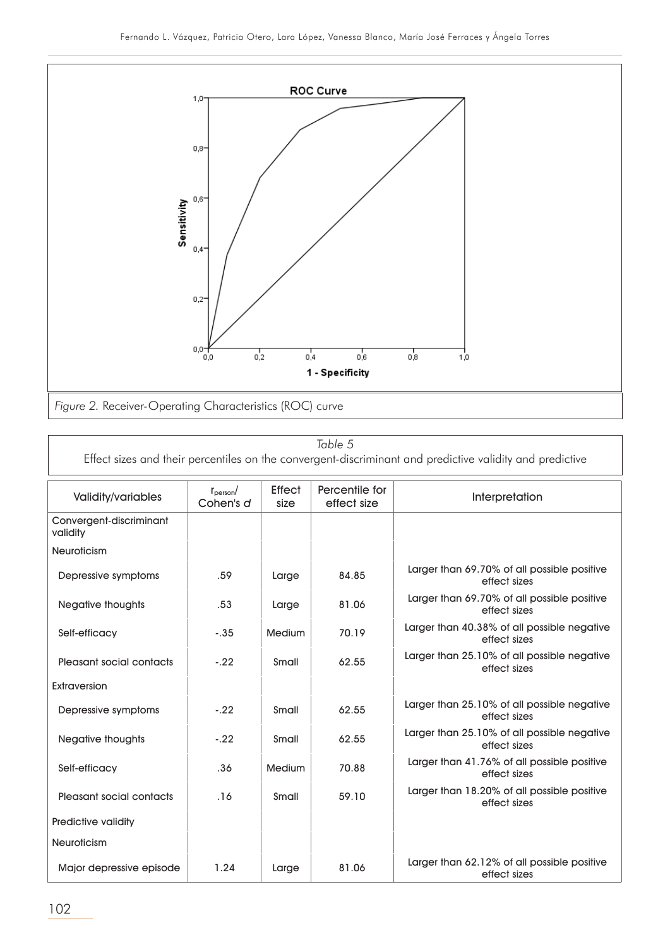

*Table 5*

Effect sizes and their percentiles on the convergent-discriminant and predictive validity and predictive

| <b>Validity/variables</b>           | $r_{\text{person}}$<br>Cohen's d | <b>Effect</b><br>size | Percentile for<br>effect size | Interpretation                                              |
|-------------------------------------|----------------------------------|-----------------------|-------------------------------|-------------------------------------------------------------|
| Convergent-discriminant<br>validity |                                  |                       |                               |                                                             |
| <b>Neuroticism</b>                  |                                  |                       |                               |                                                             |
| Depressive symptoms                 | .59                              | Large                 | 84.85                         | Larger than 69.70% of all possible positive<br>effect sizes |
| Negative thoughts                   | .53                              | Large                 | 81.06                         | Larger than 69.70% of all possible positive<br>effect sizes |
| Self-efficacy                       | $-.35$                           | <b>Medium</b>         | 70.19                         | Larger than 40.38% of all possible negative<br>effect sizes |
| Pleasant social contacts            | $-.22$                           | Small                 | 62.55                         | Larger than 25.10% of all possible negative<br>effect sizes |
| Extraversion                        |                                  |                       |                               |                                                             |
| Depressive symptoms                 | $-.22$                           | Small                 | 62.55                         | Larger than 25.10% of all possible negative<br>effect sizes |
| Negative thoughts                   | $-.22$                           | Small                 | 62.55                         | Larger than 25.10% of all possible negative<br>effect sizes |
| Self-efficacy                       | .36                              | <b>Medium</b>         | 70.88                         | Larger than 41.76% of all possible positive<br>effect sizes |
| Pleasant social contacts            | .16                              | Small                 | 59.10                         | Larger than 18.20% of all possible positive<br>effect sizes |
| Predictive validity                 |                                  |                       |                               |                                                             |
| <b>Neuroticism</b>                  |                                  |                       |                               |                                                             |
| Major depressive episode            | 1.24                             | Large                 | 81.06                         | Larger than 62.12% of all possible positive<br>effect sizes |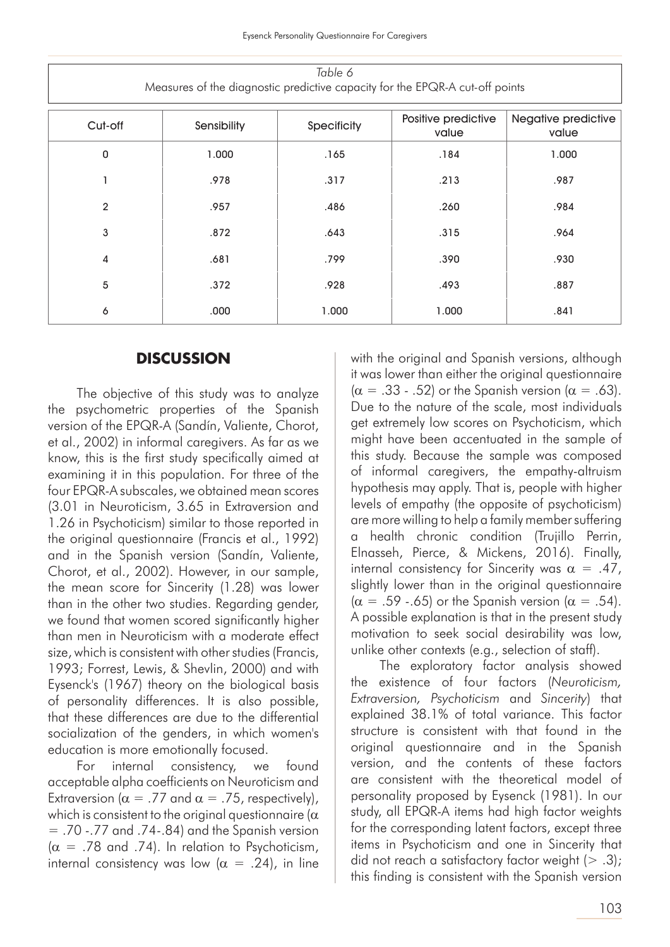| Table 6<br>Measures of the diagnostic predictive capacity for the EPQR-A cut-off points |             |             |                              |                              |  |  |  |
|-----------------------------------------------------------------------------------------|-------------|-------------|------------------------------|------------------------------|--|--|--|
| Cut-off                                                                                 | Sensibility | Specificity | Positive predictive<br>value | Negative predictive<br>value |  |  |  |
| 0                                                                                       | 1.000       | .165        | .184                         | 1.000                        |  |  |  |
|                                                                                         | .978        | .317        | .213                         | .987                         |  |  |  |
| $\overline{2}$                                                                          | .957        | .486        | .260                         | .984                         |  |  |  |
| 3                                                                                       | .872        | .643        | .315                         | .964                         |  |  |  |
| 4                                                                                       | .681        | .799        | .390                         | .930                         |  |  |  |
| 5                                                                                       | .372        | .928        | .493                         | .887                         |  |  |  |
| 6                                                                                       | ,000        | 1.000       | 1.000                        | .841                         |  |  |  |

#### **DISCUSSION**

The objective of this study was to analyze the psychometric properties of the Spanish version of the EPQR-A (Sandín, Valiente, Chorot, et al., 2002) in informal caregivers. As far as we know, this is the first study specifically aimed at examining it in this population. For three of the four EPQR-A subscales, we obtained mean scores (3.01 in Neuroticism, 3.65 in Extraversion and 1.26 in Psychoticism) similar to those reported in the original questionnaire (Francis et al., 1992) and in the Spanish version (Sandín, Valiente, Chorot, et al., 2002). However, in our sample, the mean score for Sincerity (1.28) was lower than in the other two studies. Regarding gender, we found that women scored significantly higher than men in Neuroticism with a moderate effect size, which is consistent with other studies (Francis, 1993; Forrest, Lewis, & Shevlin, 2000) and with Eysenck's (1967) theory on the biological basis of personality differences. It is also possible, that these differences are due to the differential socialization of the genders, in which women's education is more emotionally focused.

For internal consistency, we found acceptable alpha coefficients on Neuroticism and Extraversion ( $\alpha = .77$  and  $\alpha = .75$ , respectively), which is consistent to the original questionnaire ( $\alpha$  $=$  .70 -.77 and .74-.84) and the Spanish version  $(\alpha = .78$  and .74). In relation to Psychoticism, internal consistency was low ( $\alpha$  = .24), in line with the original and Spanish versions, although it was lower than either the original questionnaire  $(\alpha = .33 - .52)$  or the Spanish version  $(\alpha = .63)$ . Due to the nature of the scale, most individuals get extremely low scores on Psychoticism, which might have been accentuated in the sample of this study. Because the sample was composed of informal caregivers, the empathy-altruism hypothesis may apply. That is, people with higher levels of empathy (the opposite of psychoticism) are more willing to help a family member suffering a health chronic condition (Trujillo Perrin, Elnasseh, Pierce, & Mickens, 2016). Finally, internal consistency for Sincerity was  $\alpha = .47$ , slightly lower than in the original questionnaire  $(\alpha = .59 - .65)$  or the Spanish version  $(\alpha = .54)$ . A possible explanation is that in the present study motivation to seek social desirability was low, unlike other contexts (e.g., selection of staff).

The exploratory factor analysis showed the existence of four factors (*Neuroticism, Extraversion, Psychoticism* and *Sincerity*) that explained 38.1% of total variance. This factor structure is consistent with that found in the original questionnaire and in the Spanish version, and the contents of these factors are consistent with the theoretical model of personality proposed by Eysenck (1981). In our study, all EPQR-A items had high factor weights for the corresponding latent factors, except three items in Psychoticism and one in Sincerity that did not reach a satisfactory factor weight  $(> .3)$ ; this finding is consistent with the Spanish version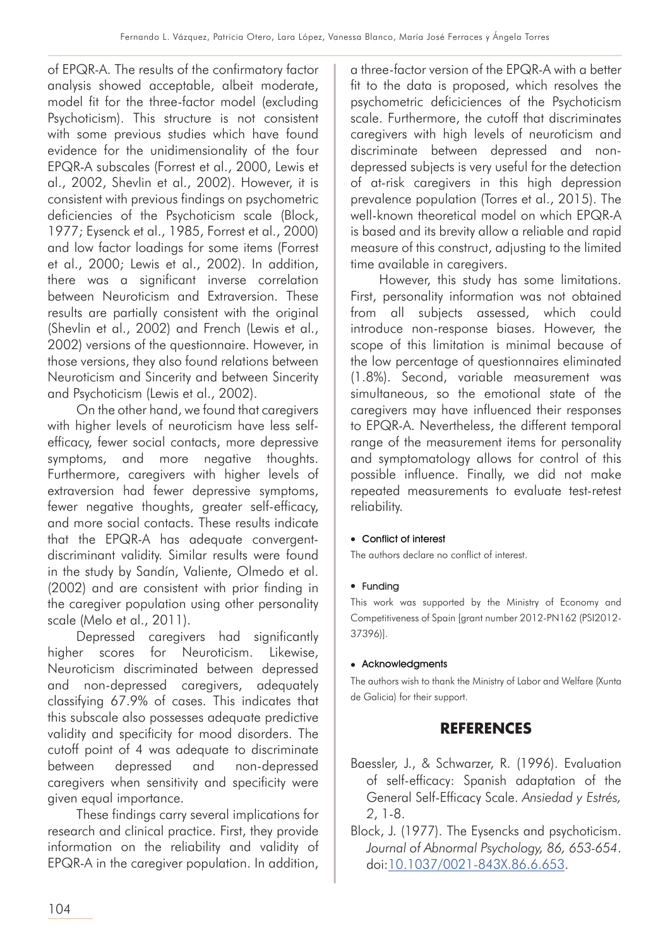of EPQR-A. The results of the confirmatory factor analysis showed acceptable, albeit moderate, model fit for the three-factor model (excluding Psychoticism). This structure is not consistent with some previous studies which have found evidence for the unidimensionality of the four EPQR-A subscales (Forrest et al., 2000, Lewis et al., 2002, Shevlin et al., 2002). However, it is consistent with previous findings on psychometric deficiencies of the Psychoticism scale (Block, 1977; Eysenck et al., 1985, Forrest et al., 2000) and low factor loadings for some items (Forrest et al., 2000; Lewis et al., 2002). In addition, there was a significant inverse correlation between Neuroticism and Extraversion. These results are partially consistent with the original (Shevlin et al., 2002) and French (Lewis et al., 2002) versions of the questionnaire. However, in those versions, they also found relations between Neuroticism and Sincerity and between Sincerity and Psychoticism (Lewis et al., 2002).

On the other hand, we found that caregivers with higher levels of neuroticism have less selfefficacy, fewer social contacts, more depressive symptoms, and more negative thoughts. Furthermore, caregivers with higher levels of extraversion had fewer depressive symptoms, fewer negative thoughts, greater self-efficacy, and more social contacts. These results indicate that the EPQR-A has adequate convergentdiscriminant validity. Similar results were found in the study by Sandín, Valiente, Olmedo et al. (2002) and are consistent with prior finding in the caregiver population using other personality scale (Melo et al., 2011).

Depressed caregivers had significantly higher scores for Neuroticism. Likewise, Neuroticism discriminated between depressed and non-depressed caregivers, adequately classifying 67.9% of cases. This indicates that this subscale also possesses adequate predictive validity and specificity for mood disorders. The cutoff point of 4 was adequate to discriminate between depressed and non-depressed caregivers when sensitivity and specificity were given equal importance.

These findings carry several implications for research and clinical practice. First, they provide information on the reliability and validity of EPQR-A in the caregiver population. In addition,

a three-factor version of the EPQR-A with a better fit to the data is proposed, which resolves the psychometric deficiciences of the Psychoticism scale. Furthermore, the cutoff that discriminates caregivers with high levels of neuroticism and discriminate between depressed and nondepressed subjects is very useful for the detection of at-risk caregivers in this high depression prevalence population (Torres et al., 2015). The well-known theoretical model on which EPQR-A is based and its brevity allow a reliable and rapid measure of this construct, adjusting to the limited time available in caregivers.

However, this study has some limitations. First, personality information was not obtained from all subjects assessed, which could introduce non-response biases. However, the scope of this limitation is minimal because of the low percentage of questionnaires eliminated (1.8%). Second, variable measurement was simultaneous, so the emotional state of the caregivers may have influenced their responses to EPQR-A. Nevertheless, the different temporal range of the measurement items for personality and symptomatology allows for control of this possible influence. Finally, we did not make repeated measurements to evaluate test-retest reliability.

#### • Conflict of interest

The authors declare no conflict of interest.

#### $\bullet$  Funding

This work was supported by the Ministry of Economy and Competitiveness of Spain [grant number 2012-PN162 (PSI2012- 37396)].

#### $\bullet$  Acknowledgments

The authors wish to thank the Ministry of Labor and Welfare (Xunta de Galicia) for their support.

## **REFERENCES**

- Baessler, J., & Schwarzer, R. (1996). Evaluation of self-efficacy: Spanish adaptation of the General Self-Efficacy Scale. *Ansiedad y Estrés, 2*, 1-8.
- Block, J. (1977). The Eysencks and psychoticism. *Journal of Abnormal Psychology, 86, 653-654*. doi:10.1037/0021-843X.86.6.653.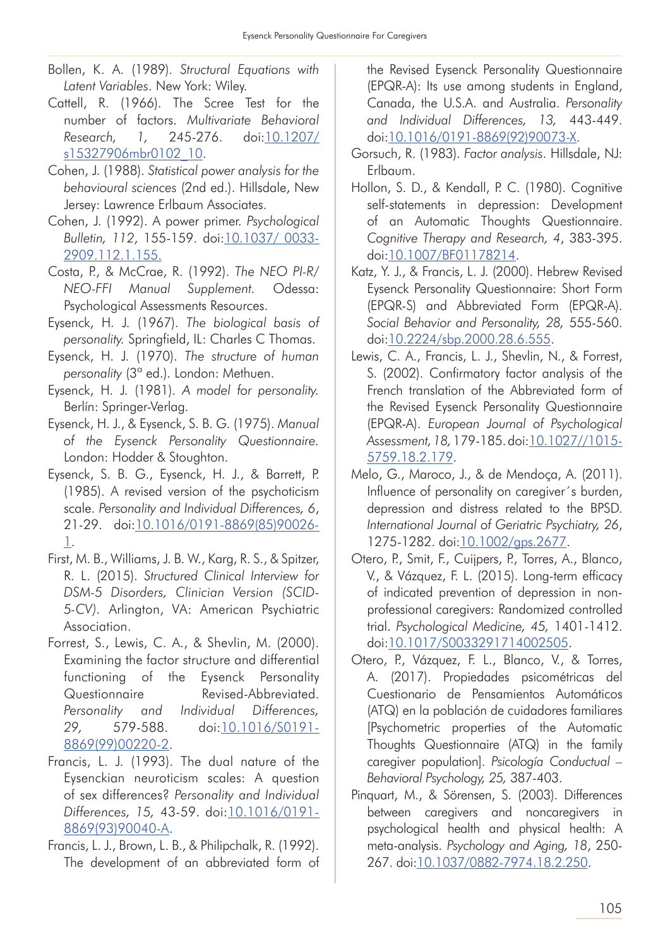- Bollen, K. A. (1989). *Structural Equations with Latent Variables*. New York: Wiley.
- Cattell, R. (1966). The Scree Test for the number of factors. *Multivariate Behavioral Research, 1,* 245-276. doi:10.1207/ s15327906mbr0102\_10.
- Cohen, J. (1988). *Statistical power analysis for the behavioural sciences* (2nd ed.). Hillsdale, New Jersey: Lawrence Erlbaum Associates.
- Cohen, J. (1992). A power primer. *Psychological Bulletin, 112*, 155-159. doi:10.1037/ 0033- 2909.112.1.155.
- Costa, P., & McCrae, R. (1992). *The NEO PI-R/ NEO-FFI Manual Supplement.* Odessa: Psychological Assessments Resources.
- Eysenck, H. J. (1967). *The biological basis of personality.* Springfield, IL: Charles C Thomas.
- Eysenck, H. J. (1970). *The structure of human personality* (3ª ed.). London: Methuen.
- Eysenck, H. J. (1981). *A model for personality.*  Berlín: Springer-Verlag.
- Eysenck, H. J., & Eysenck, S. B. G. (1975). *Manual of the Eysenck Personality Questionnaire.* London: Hodder & Stoughton.
- Eysenck, S. B. G., Eysenck, H. J., & Barrett, P. (1985). A revised version of the psychoticism scale. *Personality and Individual Differences, 6*, 21-29. doi:10.1016/0191-8869(85)90026- 1.
- First, M. B., Williams, J. B. W., Karg, R. S., & Spitzer, R. L. (2015). *Structured Clinical Interview for DSM-5 Disorders, Clinician Version (SCID-5-CV).* Arlington, VA: American Psychiatric Association.
- Forrest, S., Lewis, C. A., & Shevlin, M. (2000). Examining the factor structure and differential functioning of the Eysenck Personality Questionnaire Revised-Abbreviated. *Personality and Individual Differences, 29,* 579-588. doi:10.1016/S0191- 8869(99)00220-2.
- Francis, L. J. (1993). The dual nature of the Eysenckian neuroticism scales: A question of sex differences? *Personality and Individual Differences, 15,* 43-59. doi:10.1016/0191- 8869(93)90040-A.
- Francis, L. J., Brown, L. B., & Philipchalk, R. (1992). The development of an abbreviated form of

the Revised Eysenck Personality Questionnaire (EPQR-A): Its use among students in England, Canada, the U.S.A. and Australia. *Personality and Individual Differences, 13,* 443-449. doi:10.1016/0191-8869(92)90073-X.

- Gorsuch, R. (1983). *Factor analysis*. Hillsdale, NJ: Erlbaum.
- Hollon, S. D., & Kendall, P. C. (1980). Cognitive self-statements in depression: Development of an Automatic Thoughts Questionnaire. *Cognitive Therapy and Research, 4*, 383-395. doi:10.1007/BF01178214.
- Katz, Y. J., & Francis, L. J. (2000). Hebrew Revised Eysenck Personality Questionnaire: Short Form (EPQR-S) and Abbreviated Form (EPQR-A). *Social Behavior and Personality, 28,* 555-560. doi:10.2224/sbp.2000.28.6.555.
- Lewis, C. A., Francis, L. J., Shevlin, N., & Forrest, S. (2002). Confirmatory factor analysis of the French translation of the Abbreviated form of the Revised Eysenck Personality Questionnaire (EPQR-A). *European Journal of Psychological Assessment, 18,* 179-185. doi:10.1027//1015- 5759.18.2.179.
- Melo, G., Maroco, J., & de Mendoça, A. (2011). Influence of personality on caregiver´s burden, depression and distress related to the BPSD. *International Journal of Geriatric Psychiatry, 26*, 1275-1282. doi:10.1002/gps.2677.
- Otero, P., Smit, F., Cuijpers, P., Torres, A., Blanco, V., & Vázquez, F. L. (2015). Long-term efficacy of indicated prevention of depression in nonprofessional caregivers: Randomized controlled trial. *Psychological Medicine, 45,* 1401-1412. doi:10.1017/S0033291714002505.
- Otero, P., Vázquez, F. L., Blanco, V., & Torres, A. (2017). Propiedades psicométricas del Cuestionario de Pensamientos Automáticos (ATQ) en la población de cuidadores familiares [Psychometric properties of the Automatic Thoughts Questionnaire (ATQ) in the family caregiver population]. *Psicología Conductual – Behavioral Psychology, 25,* 387-403.
- Pinquart, M., & Sörensen, S. (2003). Differences between caregivers and noncaregivers in psychological health and physical health: A meta-analysis. *Psychology and Aging, 18*, 250- 267. doi:10.1037/0882-7974.18.2.250.